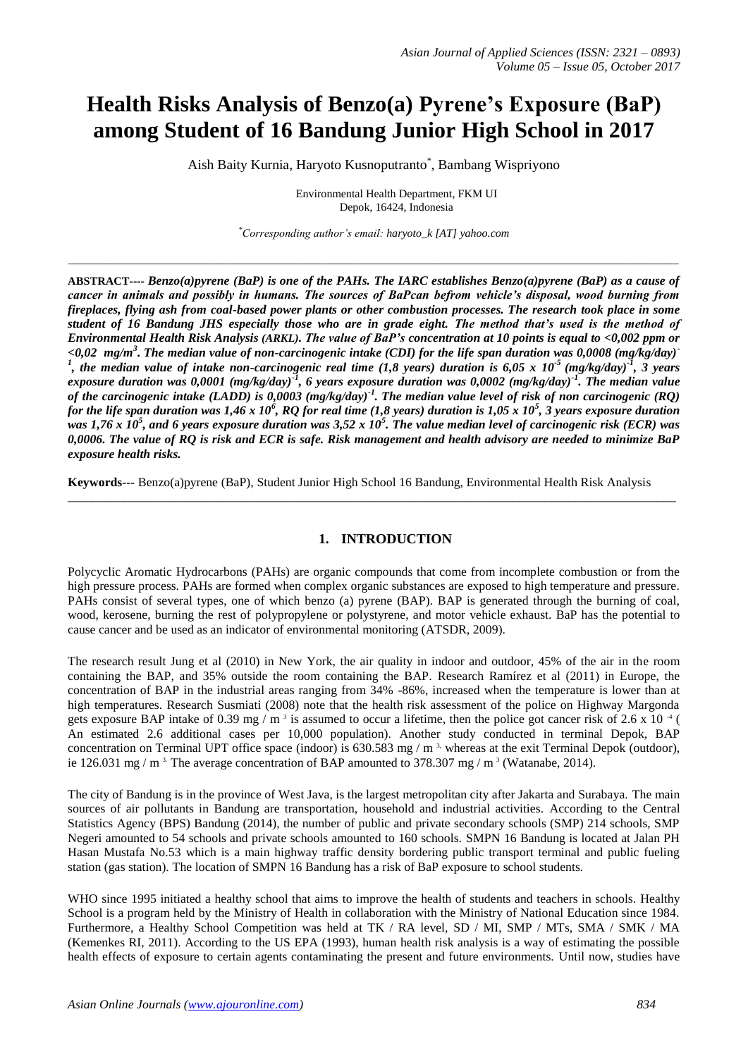# **Health Risks Analysis of Benzo(a) Pyrene's Exposure (BaP) among Student of 16 Bandung Junior High School in 2017**

Aish Baity Kurnia, Haryoto Kusnoputranto\* , Bambang Wispriyono

Environmental Health Department, FKM UI Depok, 16424, Indonesia

*\*Corresponding author's email: haryoto\_k [AT] yahoo.com*

*\_\_\_\_\_\_\_\_\_\_\_\_\_\_\_\_\_\_\_\_\_\_\_\_\_\_\_\_\_\_\_\_\_\_\_\_\_\_\_\_\_\_\_\_\_\_\_\_\_\_\_\_\_\_\_\_\_\_\_\_\_\_\_\_\_\_\_\_\_\_\_\_\_\_\_\_\_\_\_\_\_\_\_\_\_\_\_\_\_\_\_\_\_\_\_\_\_\_\_\_\_\_\_\_\_\_\_\_*

**ABSTRACT----** *Benzo(a)pyrene (BaP) is one of the PAHs. The IARC establishes Benzo(a)pyrene (BaP) as a cause of cancer in animals and possibly in humans. The sources of BaPcan befrom vehicle's disposal, wood burning from fireplaces, flying ash from coal-based power plants or other combustion processes. The research took place in some student of 16 Bandung JHS especially those who are in grade eight. The method that's used is the method of Environmental Health Risk Analysis (ARKL). The value of BaP's concentration at 10 points is equal to <0,002 ppm or <0,02 mg/m<sup>3</sup> . The median value of non-carcinogenic intake (CDI) for the life span duration was 0,0008 (mg/kg/day)- 1 , the median value of intake non-carcinogenic real time (1,8 years) duration is 6,05 x 10-5 (mg/kg/day)-1 , 3 years exposure duration was 0,0001 (mg/kg/day)-1 , 6 years exposure duration was 0,0002 (mg/kg/day)-1 . The median value of the carcinogenic intake (LADD) is 0,0003 (mg/kg/day)-1 . The median value level of risk of non carcinogenic (RQ) for the life span duration was 1,46 x 10<sup>6</sup> , RQ for real time (1,8 years) duration is 1,05 x 10<sup>5</sup> , 3 years exposure duration was 1,76 x 10<sup>5</sup> , and 6 years exposure duration was 3,52 x 10<sup>5</sup> . The value median level of carcinogenic risk (ECR) was 0,0006. The value of RQ is risk and ECR is safe. Risk management and health advisory are needed to minimize BaP exposure health risks.* 

**Keywords---** Benzo(a)pyrene (BaP), Student Junior High School 16 Bandung, Environmental Health Risk Analysis

\_\_\_\_\_\_\_\_\_\_\_\_\_\_\_\_\_\_\_\_\_\_\_\_\_\_\_\_\_\_\_\_\_\_\_\_\_\_\_\_\_\_\_\_\_\_\_\_\_\_\_\_\_\_\_\_\_\_\_\_\_\_\_\_\_\_\_\_\_\_\_\_\_\_\_\_\_\_\_\_\_\_\_\_\_\_\_\_\_\_\_\_\_\_\_\_\_

# **1. INTRODUCTION**

Polycyclic Aromatic Hydrocarbons (PAHs) are organic compounds that come from incomplete combustion or from the high pressure process. PAHs are formed when complex organic substances are exposed to high temperature and pressure. PAHs consist of several types, one of which benzo (a) pyrene (BAP). BAP is generated through the burning of coal, wood, kerosene, burning the rest of polypropylene or polystyrene, and motor vehicle exhaust. BaP has the potential to cause cancer and be used as an indicator of environmental monitoring (ATSDR, 2009).

The research result Jung et al (2010) in New York, the air quality in indoor and outdoor, 45% of the air in the room containing the BAP, and 35% outside the room containing the BAP. Research Ramírez et al (2011) in Europe, the concentration of BAP in the industrial areas ranging from 34% -86%, increased when the temperature is lower than at high temperatures. Research Susmiati (2008) note that the health risk assessment of the police on Highway Margonda gets exposure BAP intake of 0.39 mg / m<sup>3</sup> is assumed to occur a lifetime, then the police got cancer risk of 2.6 x 10<sup>-4</sup> ( An estimated 2.6 additional cases per 10,000 population). Another study conducted in terminal Depok, BAP concentration on Terminal UPT office space (indoor) is  $630.583$  mg / m<sup>3</sup>, whereas at the exit Terminal Depok (outdoor), ie 126.031 mg / m<sup>3.</sup> The average concentration of BAP amounted to 378.307 mg / m<sup>3</sup> (Watanabe, 2014).

The city of Bandung is in the province of West Java, is the largest metropolitan city after Jakarta and Surabaya. The main sources of air pollutants in Bandung are transportation, household and industrial activities. According to the Central Statistics Agency (BPS) Bandung (2014), the number of public and private secondary schools (SMP) 214 schools, SMP Negeri amounted to 54 schools and private schools amounted to 160 schools. SMPN 16 Bandung is located at Jalan PH Hasan Mustafa No.53 which is a main highway traffic density bordering public transport terminal and public fueling station (gas station). The location of SMPN 16 Bandung has a risk of BaP exposure to school students.

WHO since 1995 initiated a healthy school that aims to improve the health of students and teachers in schools. Healthy School is a program held by the Ministry of Health in collaboration with the Ministry of National Education since 1984. Furthermore, a Healthy School Competition was held at TK / RA level, SD / MI, SMP / MTs, SMA / SMK / MA (Kemenkes RI, 2011). According to the US EPA (1993), human health risk analysis is a way of estimating the possible health effects of exposure to certain agents contaminating the present and future environments. Until now, studies have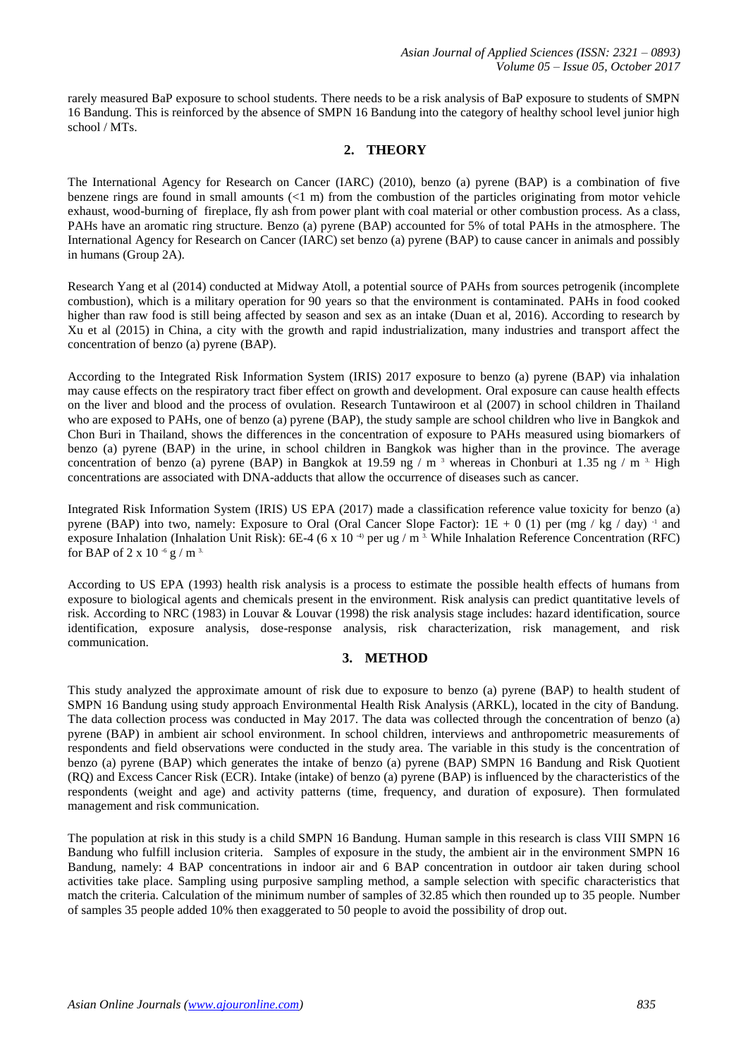rarely measured BaP exposure to school students. There needs to be a risk analysis of BaP exposure to students of SMPN 16 Bandung. This is reinforced by the absence of SMPN 16 Bandung into the category of healthy school level junior high school / MTs.

## **2. THEORY**

The International Agency for Research on Cancer (IARC) (2010), benzo (a) pyrene (BAP) is a combination of five benzene rings are found in small amounts  $\ll 1$  m) from the combustion of the particles originating from motor vehicle exhaust, wood-burning of fireplace, fly ash from power plant with coal material or other combustion process. As a class, PAHs have an aromatic ring structure. Benzo (a) pyrene (BAP) accounted for 5% of total PAHs in the atmosphere. The International Agency for Research on Cancer (IARC) set benzo (a) pyrene (BAP) to cause cancer in animals and possibly in humans (Group 2A).

Research Yang et al (2014) conducted at Midway Atoll, a potential source of PAHs from sources petrogenik (incomplete combustion), which is a military operation for 90 years so that the environment is contaminated. PAHs in food cooked higher than raw food is still being affected by season and sex as an intake (Duan et al, 2016). According to research by Xu et al (2015) in China, a city with the growth and rapid industrialization, many industries and transport affect the concentration of benzo (a) pyrene (BAP).

According to the Integrated Risk Information System (IRIS) 2017 exposure to benzo (a) pyrene (BAP) via inhalation may cause effects on the respiratory tract fiber effect on growth and development. Oral exposure can cause health effects on the liver and blood and the process of ovulation. Research Tuntawiroon et al (2007) in school children in Thailand who are exposed to PAHs, one of benzo (a) pyrene (BAP), the study sample are school children who live in Bangkok and Chon Buri in Thailand, shows the differences in the concentration of exposure to PAHs measured using biomarkers of benzo (a) pyrene (BAP) in the urine, in school children in Bangkok was higher than in the province. The average concentration of benzo (a) pyrene (BAP) in Bangkok at 19.59 ng / m<sup>3</sup> whereas in Chonburi at 1.35 ng / m<sup>3</sup>. High concentrations are associated with DNA-adducts that allow the occurrence of diseases such as cancer.

Integrated Risk Information System (IRIS) US EPA (2017) made a classification reference value toxicity for benzo (a) pyrene (BAP) into two, namely: Exposure to Oral (Oral Cancer Slope Factor):  $1E + 0$  (1) per (mg / kg / day) <sup>-1</sup> and exposure Inhalation (Inhalation Unit Risk): 6E-4 (6 x 10<sup>-4)</sup> per ug / m<sup>3</sup>. While Inhalation Reference Concentration (RFC) for BAP of 2 x 10 $-6$  g / m $^3$ .

According to US EPA (1993) health risk analysis is a process to estimate the possible health effects of humans from exposure to biological agents and chemicals present in the environment. Risk analysis can predict quantitative levels of risk. According to NRC (1983) in Louvar & Louvar (1998) the risk analysis stage includes: hazard identification, source identification, exposure analysis, dose-response analysis, risk characterization, risk management, and risk communication.

### **3. METHOD**

This study analyzed the approximate amount of risk due to exposure to benzo (a) pyrene (BAP) to health student of SMPN 16 Bandung using study approach Environmental Health Risk Analysis (ARKL), located in the city of Bandung. The data collection process was conducted in May 2017. The data was collected through the concentration of benzo (a) pyrene (BAP) in ambient air school environment. In school children, interviews and anthropometric measurements of respondents and field observations were conducted in the study area. The variable in this study is the concentration of benzo (a) pyrene (BAP) which generates the intake of benzo (a) pyrene (BAP) SMPN 16 Bandung and Risk Quotient (RQ) and Excess Cancer Risk (ECR). Intake (intake) of benzo (a) pyrene (BAP) is influenced by the characteristics of the respondents (weight and age) and activity patterns (time, frequency, and duration of exposure). Then formulated management and risk communication.

The population at risk in this study is a child SMPN 16 Bandung. Human sample in this research is class VIII SMPN 16 Bandung who fulfill inclusion criteria. Samples of exposure in the study, the ambient air in the environment SMPN 16 Bandung, namely: 4 BAP concentrations in indoor air and 6 BAP concentration in outdoor air taken during school activities take place. Sampling using purposive sampling method, a sample selection with specific characteristics that match the criteria. Calculation of the minimum number of samples of 32.85 which then rounded up to 35 people. Number of samples 35 people added 10% then exaggerated to 50 people to avoid the possibility of drop out.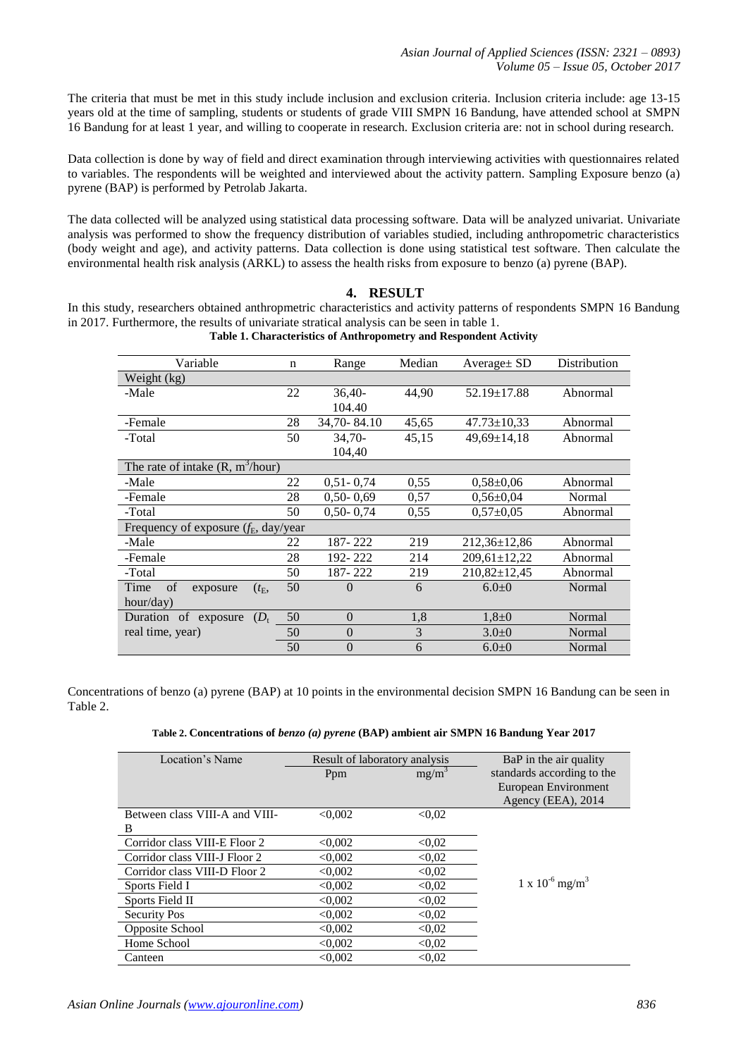The criteria that must be met in this study include inclusion and exclusion criteria. Inclusion criteria include: age 13-15 years old at the time of sampling, students or students of grade VIII SMPN 16 Bandung, have attended school at SMPN 16 Bandung for at least 1 year, and willing to cooperate in research. Exclusion criteria are: not in school during research.

Data collection is done by way of field and direct examination through interviewing activities with questionnaires related to variables. The respondents will be weighted and interviewed about the activity pattern. Sampling Exposure benzo (a) pyrene (BAP) is performed by Petrolab Jakarta.

The data collected will be analyzed using statistical data processing software. Data will be analyzed univariat. Univariate analysis was performed to show the frequency distribution of variables studied, including anthropometric characteristics (body weight and age), and activity patterns. Data collection is done using statistical test software. Then calculate the environmental health risk analysis (ARKL) to assess the health risks from exposure to benzo (a) pyrene (BAP).

### **4. RESULT**

In this study, researchers obtained anthropmetric characteristics and activity patterns of respondents SMPN 16 Bandung in 2017. Furthermore, the results of univariate stratical analysis can be seen in table 1.

| Variable                                 | n  | Range          | Median | Average $\pm$ SD   | Distribution |
|------------------------------------------|----|----------------|--------|--------------------|--------------|
| Weight (kg)                              |    |                |        |                    |              |
| -Male                                    | 22 | $36,40-$       | 44.90  | $52.19 \pm 17.88$  | Abnormal     |
|                                          |    | 104.40         |        |                    |              |
| -Female                                  | 28 | 34,70-84.10    | 45,65  | $47.73 \pm 10.33$  | Abnormal     |
| -Total                                   | 50 | $34.70-$       | 45,15  | $49,69 \pm 14,18$  | Abnormal     |
|                                          |    | 104,40         |        |                    |              |
| The rate of intake $(R, m^3/hour)$       |    |                |        |                    |              |
| -Male                                    | 22 | $0,51 - 0,74$  | 0.55   | $0.58 \pm 0.06$    | Abnormal     |
| -Female                                  | 28 | $0,50 - 0,69$  | 0.57   | $0.56 \pm 0.04$    | Normal       |
| -Total                                   | 50 | $0,50 - 0,74$  | 0,55   | $0,57+0,05$        | Abnormal     |
| Frequency of exposure $(f_E, day/year)$  |    |                |        |                    |              |
| -Male                                    | 22 | 187-222        | 219    | 212,36±12,86       | Abnormal     |
| -Female                                  | 28 | 192-222        | 214    | 209,61±12,22       | Abnormal     |
| -Total                                   | 50 | 187-222        | 219    | $210,82 \pm 12,45$ | Abnormal     |
| of<br>Time<br>$(t_{\rm E},$<br>exposure  | 50 | $\Omega$       | 6      | $6.0 + 0$          | Normal       |
| hour/day)                                |    |                |        |                    |              |
| Duration of<br>$(D_{\rm t})$<br>exposure | 50 | $\theta$       | 1,8    | $1,8+0$            | Normal       |
| real time, year)                         | 50 | $\overline{0}$ | 3      | $3.0 + 0$          | Normal       |
|                                          | 50 | $\overline{0}$ | 6      | $6.0 + 0$          | Normal       |

**Table 1. Characteristics of Anthropometry and Respondent Activity** 

Concentrations of benzo (a) pyrene (BAP) at 10 points in the environmental decision SMPN 16 Bandung can be seen in Table 2.

| Location's Name                | Result of laboratory analysis |          | BaP in the air quality               |
|--------------------------------|-------------------------------|----------|--------------------------------------|
|                                | Ppm                           | $mg/m^3$ | standards according to the           |
|                                |                               |          | European Environment                 |
|                                |                               |          | Agency (EEA), 2014                   |
| Between class VIII-A and VIII- | < 0.002                       | < 0.02   |                                      |
| B                              |                               |          |                                      |
| Corridor class VIII-E Floor 2  | < 0.002                       | < 0.02   |                                      |
| Corridor class VIII-J Floor 2  | < 0.002                       | < 0.02   |                                      |
| Corridor class VIII-D Floor 2  | < 0.002                       | < 0.02   |                                      |
| Sports Field I                 | < 0.002                       | < 0.02   | $1 \times 10^{-6}$ mg/m <sup>3</sup> |
| Sports Field II                | < 0.002                       | < 0.02   |                                      |
| <b>Security Pos</b>            | < 0.002                       | < 0.02   |                                      |
| Opposite School                | < 0.002                       | < 0.02   |                                      |
| Home School                    | < 0.002                       | < 0.02   |                                      |
| Canteen                        | < 0.002                       | < 0.02   |                                      |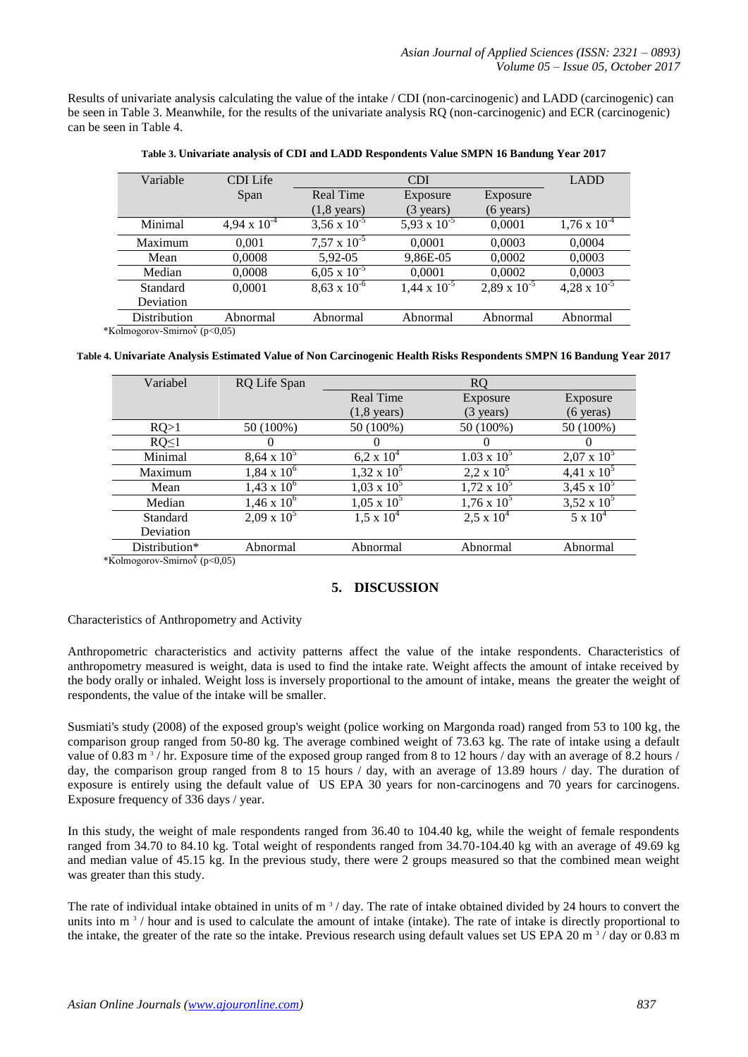Results of univariate analysis calculating the value of the intake / CDI (non-carcinogenic) and LADD (carcinogenic) can be seen in Table 3. Meanwhile, for the results of the univariate analysis RQ (non-carcinogenic) and ECR (carcinogenic) can be seen in Table 4.

| Variable                                                                                                                | <b>CDI</b> Life       | <b>CDI</b>            |                       |                       | <b>LADD</b>           |
|-------------------------------------------------------------------------------------------------------------------------|-----------------------|-----------------------|-----------------------|-----------------------|-----------------------|
|                                                                                                                         | Span                  | Real Time             | Exposure              | Exposure              |                       |
|                                                                                                                         |                       | $(1,8 \text{ years})$ | $(3 \text{ years})$   | $(6 \text{ years})$   |                       |
| Minimal                                                                                                                 | $4,94 \times 10^{-4}$ | $3,56 \times 10^{-5}$ | 5,93 x $10^{-5}$      | 0,0001                | $1,76 \times 10^{-4}$ |
| Maximum                                                                                                                 | 0.001                 | $7.57 \times 10^{-5}$ | 0,0001                | 0,0003                | 0,0004                |
| Mean                                                                                                                    | 0,0008                | 5,92-05               | 9,86E-05              | 0,0002                | 0,0003                |
| Median                                                                                                                  | 0,0008                | $6,05 \times 10^{-5}$ | 0,0001                | 0,0002                | 0,0003                |
| Standard                                                                                                                | 0,0001                | $8,63 \times 10^{-6}$ | $1,44 \times 10^{-5}$ | $2,89 \times 10^{-5}$ | $4,28 \times 10^{-5}$ |
| Deviation                                                                                                               |                       |                       |                       |                       |                       |
| Distribution                                                                                                            | Abnormal              | Abnormal              | Abnormal              | Abnormal              | Abnormal              |
| $\Gamma_{\text{other}}$ $\Gamma_{\text{other}}$ $\Gamma_{\text{other}}$ $\Gamma_{\text{other}}$ $\Gamma_{\text{other}}$ |                       |                       |                       |                       |                       |

|  |  | Table 3. Univariate analysis of CDI and LADD Respondents Value SMPN 16 Bandung Year 2017 |  |  |
|--|--|------------------------------------------------------------------------------------------|--|--|
|  |  |                                                                                          |  |  |

 $*$ Kolmogorov-Smirnov $(p<0,05)$ 

|  | Table 4. Univariate Analysis Estimated Value of Non Carcinogenic Health Risks Respondents SMPN 16 Bandung Year 2017 |  |
|--|---------------------------------------------------------------------------------------------------------------------|--|

| Variabel                                                                                                                                                                                                                                                                                                                                                                          | RQ Life Span       |                       | <sub>RO</sub>       |                     |
|-----------------------------------------------------------------------------------------------------------------------------------------------------------------------------------------------------------------------------------------------------------------------------------------------------------------------------------------------------------------------------------|--------------------|-----------------------|---------------------|---------------------|
|                                                                                                                                                                                                                                                                                                                                                                                   |                    | <b>Real Time</b>      | Exposure            | Exposure            |
|                                                                                                                                                                                                                                                                                                                                                                                   |                    | $(1,8 \text{ years})$ | $(3 \text{ years})$ | $(6 \text{ years})$ |
| RQ>1                                                                                                                                                                                                                                                                                                                                                                              | 50 (100%)          | 50 (100%)             | 50 (100%)           | 50 (100%)           |
| $RQ \leq 1$                                                                                                                                                                                                                                                                                                                                                                       |                    |                       |                     |                     |
| Minimal                                                                                                                                                                                                                                                                                                                                                                           | $8,64 \times 10^5$ | $6.2 \times 10^{4}$   | $1.03 \times 10^5$  | $2,07 \times 10^5$  |
| Maximum                                                                                                                                                                                                                                                                                                                                                                           | $1,84 \times 10^6$ | $1,32 \times 10^5$    | $2,2 \times 10^5$   | $4,41 \times 10^5$  |
| Mean                                                                                                                                                                                                                                                                                                                                                                              | $1,43 \times 10^6$ | $1,03 \times 10^5$    | $1,72 \times 10^5$  | 3,45 x $10^5$       |
| Median                                                                                                                                                                                                                                                                                                                                                                            | $1,46 \times 10^6$ | $1,05 \times 10^5$    | $1,76 \times 10^5$  | 3,52 x $10^5$       |
| Standard                                                                                                                                                                                                                                                                                                                                                                          | $2.09 \times 10^5$ | $1,5 \times 10^4$     | $2.5 \times 10^{4}$ | $5 \times 10^4$     |
| Deviation                                                                                                                                                                                                                                                                                                                                                                         |                    |                       |                     |                     |
| Distribution*                                                                                                                                                                                                                                                                                                                                                                     | Abnormal           | Abnormal              | Abnormal            | Abnormal            |
| $\overline{Y}$ 1 $\overline{Y}$ $\overline{Y}$ $\overline{Y}$ $\overline{Y}$ $\overline{Y}$ $\overline{Y}$ $\overline{Y}$ $\overline{Y}$ $\overline{Y}$ $\overline{Y}$ $\overline{Y}$ $\overline{Y}$ $\overline{Y}$ $\overline{Y}$ $\overline{Y}$ $\overline{Y}$ $\overline{Y}$ $\overline{Y}$ $\overline{Y}$ $\overline{Y}$ $\overline{Y}$ $\overline{Y}$ $\overline{Y}$ $\over$ |                    |                       |                     |                     |

\*Kolmogorov-Smirnov<sup>3</sup> (p<0,05)

# **5. DISCUSSION**

### Characteristics of Anthropometry and Activity

Anthropometric characteristics and activity patterns affect the value of the intake respondents. Characteristics of anthropometry measured is weight, data is used to find the intake rate. Weight affects the amount of intake received by the body orally or inhaled. Weight loss is inversely proportional to the amount of intake, means the greater the weight of respondents, the value of the intake will be smaller.

Susmiati's study (2008) of the exposed group's weight (police working on Margonda road) ranged from 53 to 100 kg, the comparison group ranged from 50-80 kg. The average combined weight of 73.63 kg. The rate of intake using a default value of 0.83 m<sup>3</sup>/hr. Exposure time of the exposed group ranged from 8 to 12 hours / day with an average of 8.2 hours / day, the comparison group ranged from 8 to 15 hours / day, with an average of 13.89 hours / day. The duration of exposure is entirely using the default value of US EPA 30 years for non-carcinogens and 70 years for carcinogens. Exposure frequency of 336 days / year.

In this study, the weight of male respondents ranged from 36.40 to 104.40 kg, while the weight of female respondents ranged from 34.70 to 84.10 kg. Total weight of respondents ranged from 34.70-104.40 kg with an average of 49.69 kg and median value of 45.15 kg. In the previous study, there were 2 groups measured so that the combined mean weight was greater than this study.

The rate of individual intake obtained in units of  $m<sup>3</sup>$  / day. The rate of intake obtained divided by 24 hours to convert the units into  $m<sup>3</sup>$  / hour and is used to calculate the amount of intake (intake). The rate of intake is directly proportional to the intake, the greater of the rate so the intake. Previous research using default values set US EPA 20 m<sup>3</sup>/day or 0.83 m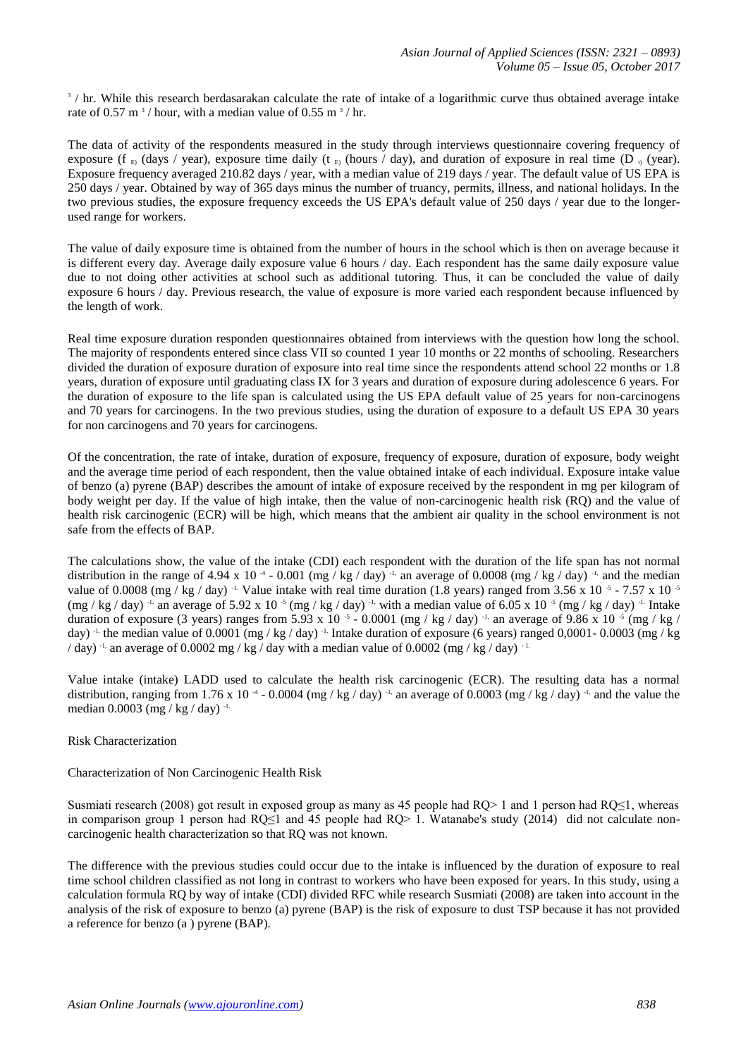3 / hr. While this research berdasarakan calculate the rate of intake of a logarithmic curve thus obtained average intake rate of 0.57 m<sup>3</sup>/hour, with a median value of 0.55 m<sup>3</sup>/hr.

The data of activity of the respondents measured in the study through interviews questionnaire covering frequency of exposure (f  $_{\rm E}$ ) (days / year), exposure time daily (t  $_{\rm E}$ ) (hours / day), and duration of exposure in real time (D  $_{\rm D}$  (year). Exposure frequency averaged 210.82 days / year, with a median value of 219 days / year. The default value of US EPA is 250 days / year. Obtained by way of 365 days minus the number of truancy, permits, illness, and national holidays. In the two previous studies, the exposure frequency exceeds the US EPA's default value of 250 days / year due to the longerused range for workers.

The value of daily exposure time is obtained from the number of hours in the school which is then on average because it is different every day. Average daily exposure value 6 hours / day. Each respondent has the same daily exposure value due to not doing other activities at school such as additional tutoring. Thus, it can be concluded the value of daily exposure 6 hours / day. Previous research, the value of exposure is more varied each respondent because influenced by the length of work.

Real time exposure duration responden questionnaires obtained from interviews with the question how long the school. The majority of respondents entered since class VII so counted 1 year 10 months or 22 months of schooling. Researchers divided the duration of exposure duration of exposure into real time since the respondents attend school 22 months or 1.8 years, duration of exposure until graduating class IX for 3 years and duration of exposure during adolescence 6 years. For the duration of exposure to the life span is calculated using the US EPA default value of 25 years for non-carcinogens and 70 years for carcinogens. In the two previous studies, using the duration of exposure to a default US EPA 30 years for non carcinogens and 70 years for carcinogens.

Of the concentration, the rate of intake, duration of exposure, frequency of exposure, duration of exposure, body weight and the average time period of each respondent, then the value obtained intake of each individual. Exposure intake value of benzo (a) pyrene (BAP) describes the amount of intake of exposure received by the respondent in mg per kilogram of body weight per day. If the value of high intake, then the value of non-carcinogenic health risk (RQ) and the value of health risk carcinogenic (ECR) will be high, which means that the ambient air quality in the school environment is not safe from the effects of BAP.

The calculations show, the value of the intake (CDI) each respondent with the duration of the life span has not normal distribution in the range of 4.94 x 10<sup>-4</sup> - 0.001 (mg / kg / day)<sup>-1,</sup> an average of 0.0008 (mg / kg / day)<sup>-1,</sup> and the median value of 0.0008 (mg / kg / day) <sup>-1.</sup> Value intake with real time duration (1.8 years) ranged from 3.56 x 10<sup>-5</sup> - 7.57 x 10<sup>-5</sup>  $(\text{mg / kg / day})$ <sup>-1,</sup> an average of 5.92 x 10<sup>-5</sup> (mg / kg / day)<sup>-1,</sup> with a median value of 6.05 x 10<sup>-5</sup> (mg / kg / day)<sup>-1.</sup> Intake duration of exposure (3 years) ranges from 5.93 x 10  $\cdot$  - 0.0001 (mg / kg / day)  $\cdot$  an average of 9.86 x 10  $\cdot$  (mg / kg / day)  $^{-1}$ , the median value of 0.0001 (mg / kg / day)  $^{-1}$ . Intake duration of exposure (6 years) ranged 0,0001- 0.0003 (mg / kg / day) <sup>-1,</sup> an average of 0.0002 mg / kg / day with a median value of 0.0002 (mg / kg / day) <sup>-1.</sup>

Value intake (intake) LADD used to calculate the health risk carcinogenic (ECR). The resulting data has a normal distribution, ranging from 1.76 x 10<sup>-4</sup> - 0.0004 (mg / kg / day)<sup>-1,</sup> an average of 0.0003 (mg / kg / day)<sup>-1,</sup> and the value the median 0.0003 (mg / kg / day) -1.

### Risk Characterization

Characterization of Non Carcinogenic Health Risk

Susmiati research (2008) got result in exposed group as many as 45 people had RQ> 1 and 1 person had RQ≤1, whereas in comparison group 1 person had RQ≤1 and 45 people had RQ> 1. Watanabe's study (2014) did not calculate noncarcinogenic health characterization so that RQ was not known.

The difference with the previous studies could occur due to the intake is influenced by the duration of exposure to real time school children classified as not long in contrast to workers who have been exposed for years. In this study, using a calculation formula RQ by way of intake (CDI) divided RFC while research Susmiati (2008) are taken into account in the analysis of the risk of exposure to benzo (a) pyrene (BAP) is the risk of exposure to dust TSP because it has not provided a reference for benzo (a ) pyrene (BAP).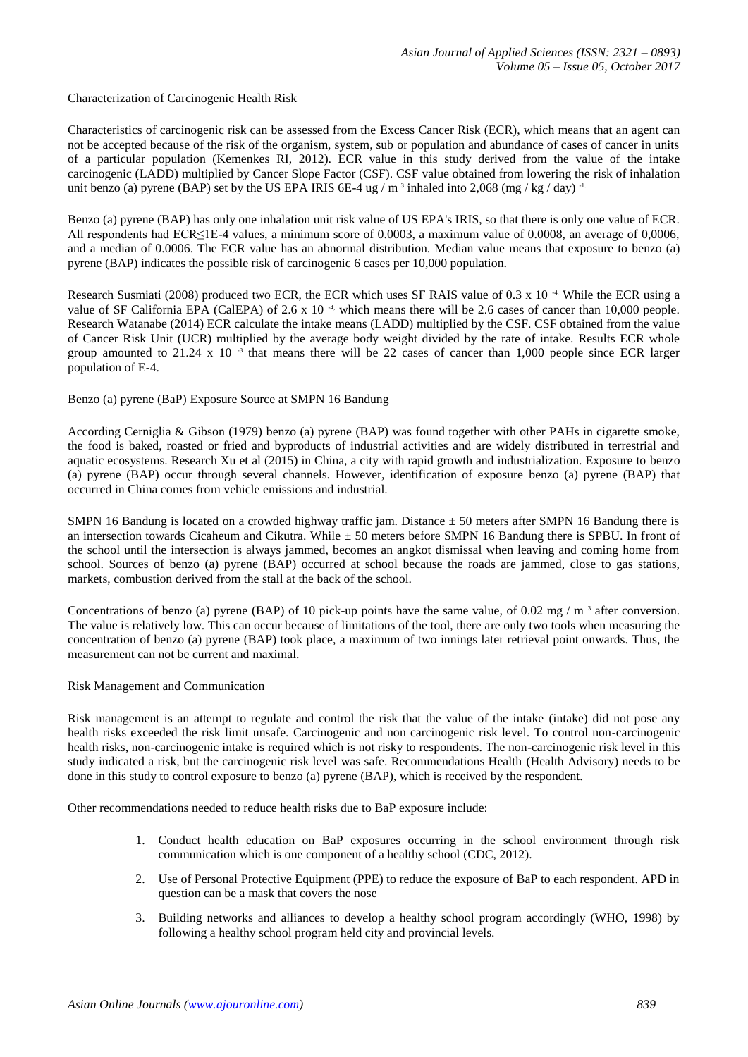Characterization of Carcinogenic Health Risk

Characteristics of carcinogenic risk can be assessed from the Excess Cancer Risk (ECR), which means that an agent can not be accepted because of the risk of the organism, system, sub or population and abundance of cases of cancer in units of a particular population (Kemenkes RI, 2012). ECR value in this study derived from the value of the intake carcinogenic (LADD) multiplied by Cancer Slope Factor (CSF). CSF value obtained from lowering the risk of inhalation unit benzo (a) pyrene (BAP) set by the US EPA IRIS 6E-4 ug /  $m<sup>3</sup>$  inhaled into 2,068 (mg / kg / day) <sup>-1.</sup>

Benzo (a) pyrene (BAP) has only one inhalation unit risk value of US EPA's IRIS, so that there is only one value of ECR. All respondents had ECR≤1E-4 values, a minimum score of 0.0003, a maximum value of 0.0008, an average of 0,0006, and a median of 0.0006. The ECR value has an abnormal distribution. Median value means that exposure to benzo (a) pyrene (BAP) indicates the possible risk of carcinogenic 6 cases per 10,000 population.

Research Susmiati (2008) produced two ECR, the ECR which uses SF RAIS value of 0.3 x 10<sup>-4</sup>. While the ECR using a value of SF California EPA (CalEPA) of 2.6 x 10<sup>-4,</sup> which means there will be 2.6 cases of cancer than 10,000 people. Research Watanabe (2014) ECR calculate the intake means (LADD) multiplied by the CSF. CSF obtained from the value of Cancer Risk Unit (UCR) multiplied by the average body weight divided by the rate of intake. Results ECR whole group amounted to 21.24 x 10 $^{-3}$  that means there will be 22 cases of cancer than 1,000 people since ECR larger population of E-4.

Benzo (a) pyrene (BaP) Exposure Source at SMPN 16 Bandung

According Cerniglia & Gibson (1979) benzo (a) pyrene (BAP) was found together with other PAHs in cigarette smoke, the food is baked, roasted or fried and byproducts of industrial activities and are widely distributed in terrestrial and aquatic ecosystems. Research Xu et al (2015) in China, a city with rapid growth and industrialization. Exposure to benzo (a) pyrene (BAP) occur through several channels. However, identification of exposure benzo (a) pyrene (BAP) that occurred in China comes from vehicle emissions and industrial.

SMPN 16 Bandung is located on a crowded highway traffic jam. Distance  $\pm$  50 meters after SMPN 16 Bandung there is an intersection towards Cicaheum and Cikutra. While  $\pm$  50 meters before SMPN 16 Bandung there is SPBU. In front of the school until the intersection is always jammed, becomes an angkot dismissal when leaving and coming home from school. Sources of benzo (a) pyrene (BAP) occurred at school because the roads are jammed, close to gas stations, markets, combustion derived from the stall at the back of the school.

Concentrations of benzo (a) pyrene (BAP) of 10 pick-up points have the same value, of 0.02 mg /  $m<sup>3</sup>$  after conversion. The value is relatively low. This can occur because of limitations of the tool, there are only two tools when measuring the concentration of benzo (a) pyrene (BAP) took place, a maximum of two innings later retrieval point onwards. Thus, the measurement can not be current and maximal.

### Risk Management and Communication

Risk management is an attempt to regulate and control the risk that the value of the intake (intake) did not pose any health risks exceeded the risk limit unsafe. Carcinogenic and non carcinogenic risk level. To control non-carcinogenic health risks, non-carcinogenic intake is required which is not risky to respondents. The non-carcinogenic risk level in this study indicated a risk, but the carcinogenic risk level was safe. Recommendations Health (Health Advisory) needs to be done in this study to control exposure to benzo (a) pyrene (BAP), which is received by the respondent.

Other recommendations needed to reduce health risks due to BaP exposure include:

- 1. Conduct health education on BaP exposures occurring in the school environment through risk communication which is one component of a healthy school (CDC, 2012).
- 2. Use of Personal Protective Equipment (PPE) to reduce the exposure of BaP to each respondent. APD in question can be a mask that covers the nose
- 3. Building networks and alliances to develop a healthy school program accordingly (WHO, 1998) by following a healthy school program held city and provincial levels.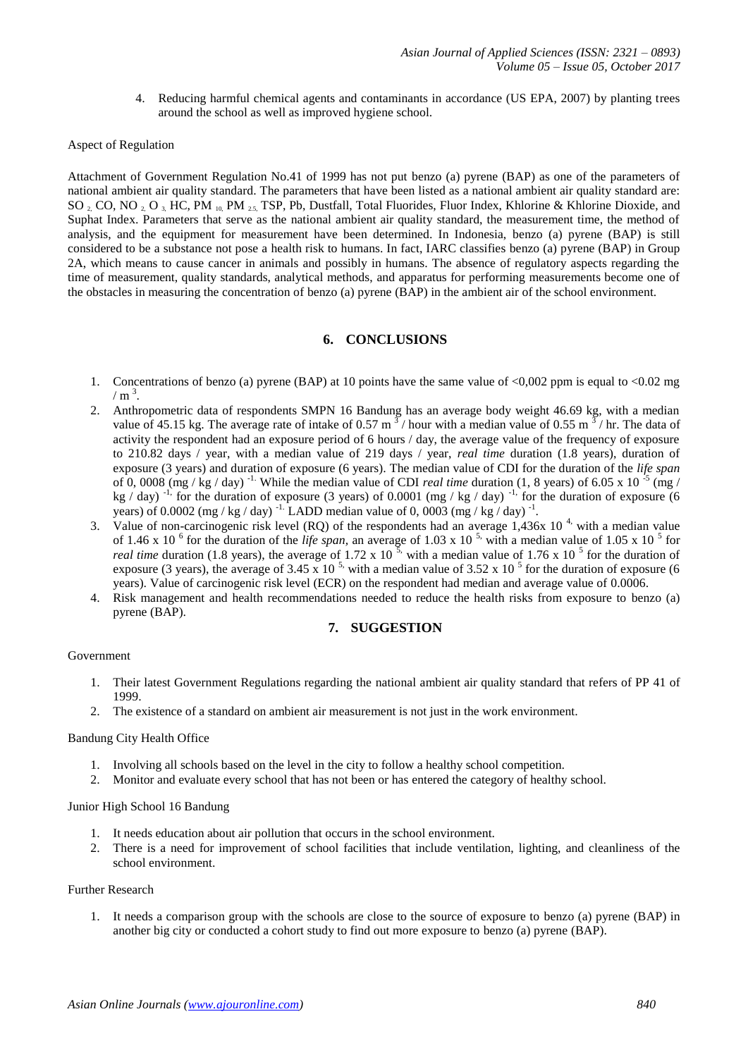4. Reducing harmful chemical agents and contaminants in accordance (US EPA, 2007) by planting trees around the school as well as improved hygiene school.

#### Aspect of Regulation

Attachment of Government Regulation No.41 of 1999 has not put benzo (a) pyrene (BAP) as one of the parameters of national ambient air quality standard. The parameters that have been listed as a national ambient air quality standard are: SO <sub>2</sub>, CO, NO <sub>2</sub>, O<sub>3</sub>, HC, PM  $_{10}$ , PM  $_{25}$ , TSP, Pb, Dustfall, Total Fluorides, Fluor Index, Khlorine & Khlorine Dioxide, and Suphat Index. Parameters that serve as the national ambient air quality standard, the measurement time, the method of analysis, and the equipment for measurement have been determined. In Indonesia, benzo (a) pyrene (BAP) is still considered to be a substance not pose a health risk to humans. In fact, IARC classifies benzo (a) pyrene (BAP) in Group 2A, which means to cause cancer in animals and possibly in humans. The absence of regulatory aspects regarding the time of measurement, quality standards, analytical methods, and apparatus for performing measurements become one of the obstacles in measuring the concentration of benzo (a) pyrene (BAP) in the ambient air of the school environment.

# **6. CONCLUSIONS**

- 1. Concentrations of benzo (a) pyrene (BAP) at 10 points have the same value of <0,002 ppm is equal to <0.02 mg  $/ \text{ m}^3$ .
- 2. Anthropometric data of respondents SMPN 16 Bandung has an average body weight 46.69 kg, with a median value of 45.15 kg. The average rate of intake of 0.57 m<sup>3</sup>/hour with a median value of 0.55 m<sup>3</sup>/hr. The data of activity the respondent had an exposure period of 6 hours / day, the average value of the frequency of exposure to 210.82 days / year, with a median value of 219 days / year, *real time* duration (1.8 years), duration of exposure (3 years) and duration of exposure (6 years). The median value of CDI for the duration of the *life span* of 0, 0008 (mg / kg / day)<sup>-1.</sup> While the median value of CDI *real time* duration (1, 8 years) of 6.05 x 10<sup>-5</sup> (mg / kg / day)<sup>-1,</sup> for the duration of exposure (3 years) of 0.0001 (mg / kg / day)<sup>-1,</sup> for the duration of exposure (6 years) of 0.0002 (mg / kg / day) <sup>-1.</sup> LADD median value of 0, 0003 (mg / kg / day) <sup>-1</sup>.
- 3. Value of non-carcinogenic risk level (RQ) of the respondents had an average  $1,436x$  10<sup>4</sup>, with a median value of 1.46 x 10<sup> $6$ </sup> for the duration of the *life span*, an average of 1.03 x 10<sup> $5$ </sup>, with a median value of 1.05 x 10 $<sup>5</sup>$  for</sup> *real time* duration (1.8 years), the average of 1.72 x 10<sup>5</sup>, with a median value of 1.76 x 10<sup>5</sup> for the duration of exposure (3 years), the average of 3.45 x 10<sup>-5</sup>, with a median value of 3.52 x 10<sup>-5</sup> for the duration of exposure (6 years). Value of carcinogenic risk level (ECR) on the respondent had median and average value of 0.0006.
- 4. Risk management and health recommendations needed to reduce the health risks from exposure to benzo (a) pyrene (BAP).

## **7. SUGGESTION**

## Government

- 1. Their latest Government Regulations regarding the national ambient air quality standard that refers of PP 41 of 1999.
- 2. The existence of a standard on ambient air measurement is not just in the work environment.

### Bandung City Health Office

- 1. Involving all schools based on the level in the city to follow a healthy school competition.
- 2. Monitor and evaluate every school that has not been or has entered the category of healthy school.

#### Junior High School 16 Bandung

- 1. It needs education about air pollution that occurs in the school environment.
- 2. There is a need for improvement of school facilities that include ventilation, lighting, and cleanliness of the school environment.

#### Further Research

1. It needs a comparison group with the schools are close to the source of exposure to benzo (a) pyrene (BAP) in another big city or conducted a cohort study to find out more exposure to benzo (a) pyrene (BAP).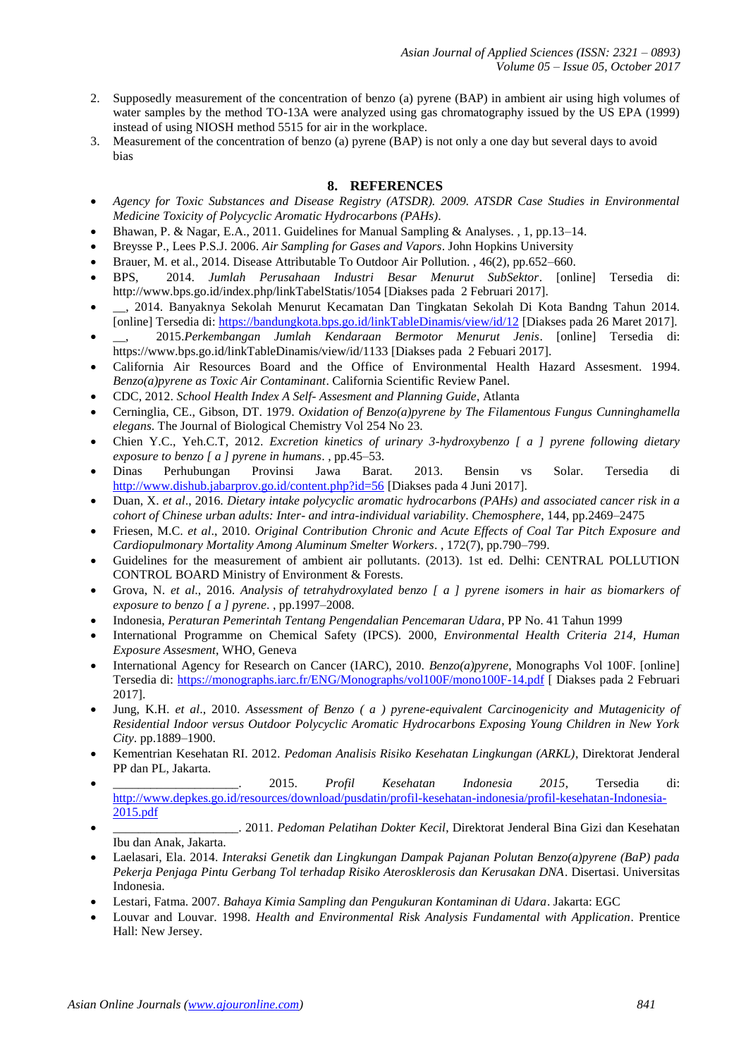- 2. Supposedly measurement of the concentration of benzo (a) pyrene (BAP) in ambient air using high volumes of water samples by the method TO-13A were analyzed using gas chromatography issued by the US EPA (1999) instead of using NIOSH method 5515 for air in the workplace.
- 3. Measurement of the concentration of benzo (a) pyrene (BAP) is not only a one day but several days to avoid bias

# **8. REFERENCES**

- *Agency for Toxic Substances and Disease Registry (ATSDR). 2009. ATSDR Case Studies in Environmental Medicine Toxicity of Polycyclic Aromatic Hydrocarbons (PAHs)*.
- Bhawan, P. & Nagar, E.A., 2011. Guidelines for Manual Sampling & Analyses. , 1, pp.13–14.
- Breysse P., Lees P.S.J. 2006. *Air Sampling for Gases and Vapors*. John Hopkins University
- Brauer, M. et al., 2014. Disease Attributable To Outdoor Air Pollution. , 46(2), pp.652–660.
- BPS, 2014. *Jumlah Perusahaan Industri Besar Menurut SubSektor*. [online] Tersedia di: http://www.bps.go.id/index.php/linkTabelStatis/1054 [Diakses pada 2 Februari 2017].
- \_\_, 2014. Banyaknya Sekolah Menurut Kecamatan Dan Tingkatan Sekolah Di Kota Bandng Tahun 2014. [online] Tersedia di:<https://bandungkota.bps.go.id/linkTableDinamis/view/id/12> [Diakses pada 26 Maret 2017].
- \_\_, 2015.*Perkembangan Jumlah Kendaraan Bermotor Menurut Jenis*. [online] Tersedia di: https://www.bps.go.id/linkTableDinamis/view/id/1133 [Diakses pada 2 Febuari 2017].
- California Air Resources Board and the Office of Environmental Health Hazard Assesment. 1994. *Benzo(a)pyrene as Toxic Air Contaminant*. California Scientific Review Panel.
- CDC, 2012. *School Health Index A Self- Assesment and Planning Guide*, Atlanta
- Cerninglia, CE., Gibson, DT. 1979. *Oxidation of Benzo(a)pyrene by The Filamentous Fungus Cunninghamella elegans*. The Journal of Biological Chemistry Vol 254 No 23.
- Chien Y.C., Yeh.C.T, 2012. *Excretion kinetics of urinary 3-hydroxybenzo [ a ] pyrene following dietary exposure to benzo [ a ] pyrene in humans*. , pp.45–53.
- Dinas Perhubungan Provinsi Jawa Barat. 2013. Bensin vs Solar. Tersedia di <http://www.dishub.jabarprov.go.id/content.php?id=56> [Diakses pada 4 Juni 2017].
- Duan, X. *et al*., 2016. *Dietary intake polycyclic aromatic hydrocarbons (PAHs) and associated cancer risk in a cohort of Chinese urban adults: Inter- and intra-individual variability*. *Chemosphere*, 144, pp.2469–2475
- Friesen, M.C. *et al*., 2010. *Original Contribution Chronic and Acute Effects of Coal Tar Pitch Exposure and Cardiopulmonary Mortality Among Aluminum Smelter Workers*. , 172(7), pp.790–799.
- Guidelines for the measurement of ambient air pollutants. (2013). 1st ed. Delhi: CENTRAL POLLUTION CONTROL BOARD Ministry of Environment & Forests.
- Grova, N. *et al*., 2016. *Analysis of tetrahydroxylated benzo [ a ] pyrene isomers in hair as biomarkers of exposure to benzo [ a ] pyrene*. , pp.1997–2008.
- Indonesia, *Peraturan Pemerintah Tentang Pengendalian Pencemaran Udara*, PP No. 41 Tahun 1999
- International Programme on Chemical Safety (IPCS). 2000, *Environmental Health Criteria 214, Human Exposure Assesment*, WHO, Geneva
- International Agency for Research on Cancer (IARC), 2010. *Benzo(a)pyrene*, Monographs Vol 100F. [online] Tersedia di:<https://monographs.iarc.fr/ENG/Monographs/vol100F/mono100F-14.pdf> [ Diakses pada 2 Februari 2017].
- Jung, K.H. *et al*., 2010. *Assessment of Benzo ( a ) pyrene-equivalent Carcinogenicity and Mutagenicity of Residential Indoor versus Outdoor Polycyclic Aromatic Hydrocarbons Exposing Young Children in New York City*. pp.1889–1900.
- Kementrian Kesehatan RI. 2012. *Pedoman Analisis Risiko Kesehatan Lingkungan (ARKL)*, Direktorat Jenderal PP dan PL, Jakarta.
- \_\_\_\_\_\_\_\_\_\_\_\_\_\_\_\_\_\_\_\_. 2015. *Profil Kesehatan Indonesia 2015*, Tersedia di: [http://www.depkes.go.id/resources/download/pusdatin/profil-kesehatan-indonesia/profil-kesehatan-Indonesia-](http://www.depkes.go.id/resources/download/pusdatin/profil-kesehatan-indonesia/profil-kesehatan-Indonesia-2015.pdf)[2015.pdf](http://www.depkes.go.id/resources/download/pusdatin/profil-kesehatan-indonesia/profil-kesehatan-Indonesia-2015.pdf)
- \_\_\_\_\_\_\_\_\_\_\_\_\_\_\_\_\_\_\_\_. 2011. *Pedoman Pelatihan Dokter Kecil*, Direktorat Jenderal Bina Gizi dan Kesehatan Ibu dan Anak, Jakarta.
- Laelasari, Ela. 2014. *Interaksi Genetik dan Lingkungan Dampak Pajanan Polutan Benzo(a)pyrene (BaP) pada Pekerja Penjaga Pintu Gerbang Tol terhadap Risiko Aterosklerosis dan Kerusakan DNA*. Disertasi. Universitas Indonesia.
- Lestari, Fatma. 2007. *Bahaya Kimia Sampling dan Pengukuran Kontaminan di Udara*. Jakarta: EGC
- Louvar and Louvar. 1998. *Health and Environmental Risk Analysis Fundamental with Application*. Prentice Hall: New Jersey.